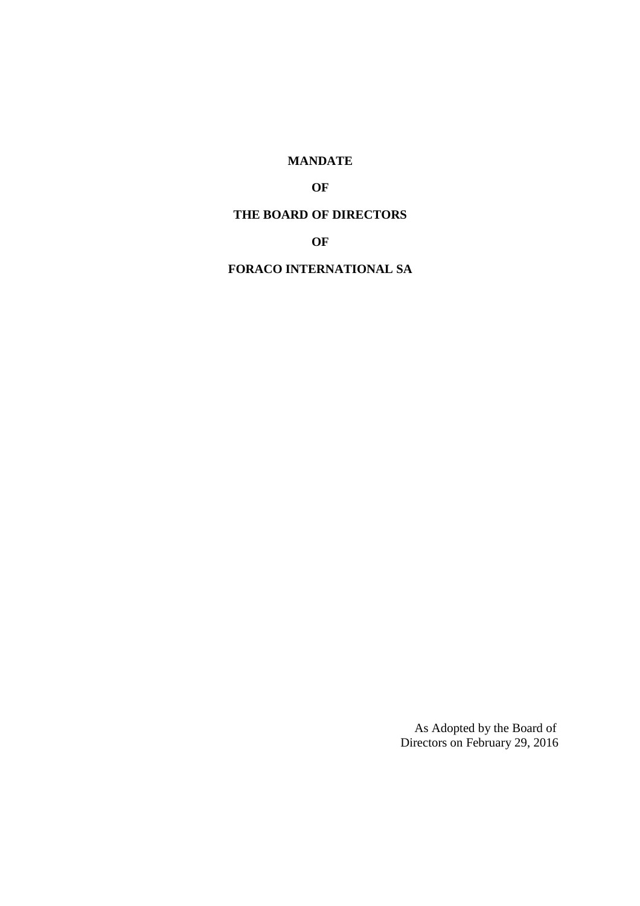# **MANDATE**

# **OF**

## **THE BOARD OF DIRECTORS**

## **OF**

## **FORACO INTERNATIONAL SA**

As Adopted by the Board of Directors on February 29, 2016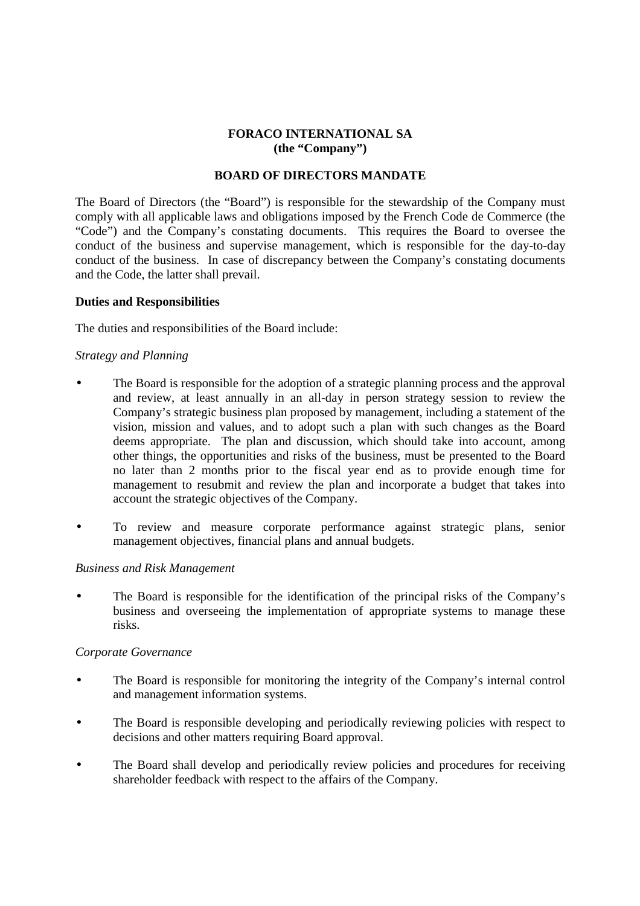## **FORACO INTERNATIONAL SA (the "Company")**

### **BOARD OF DIRECTORS MANDATE**

The Board of Directors (the "Board") is responsible for the stewardship of the Company must comply with all applicable laws and obligations imposed by the French Code de Commerce (the "Code") and the Company's constating documents. This requires the Board to oversee the conduct of the business and supervise management, which is responsible for the day-to-day conduct of the business. In case of discrepancy between the Company's constating documents and the Code, the latter shall prevail.

#### **Duties and Responsibilities**

The duties and responsibilities of the Board include:

## *Strategy and Planning*

- The Board is responsible for the adoption of a strategic planning process and the approval and review, at least annually in an all-day in person strategy session to review the Company's strategic business plan proposed by management, including a statement of the vision, mission and values, and to adopt such a plan with such changes as the Board deems appropriate. The plan and discussion, which should take into account, among other things, the opportunities and risks of the business, must be presented to the Board no later than 2 months prior to the fiscal year end as to provide enough time for management to resubmit and review the plan and incorporate a budget that takes into account the strategic objectives of the Company.
- To review and measure corporate performance against strategic plans, senior management objectives, financial plans and annual budgets.

#### *Business and Risk Management*

The Board is responsible for the identification of the principal risks of the Company's business and overseeing the implementation of appropriate systems to manage these risks.

## *Corporate Governance*

- The Board is responsible for monitoring the integrity of the Company's internal control and management information systems.
- The Board is responsible developing and periodically reviewing policies with respect to decisions and other matters requiring Board approval.
- The Board shall develop and periodically review policies and procedures for receiving shareholder feedback with respect to the affairs of the Company.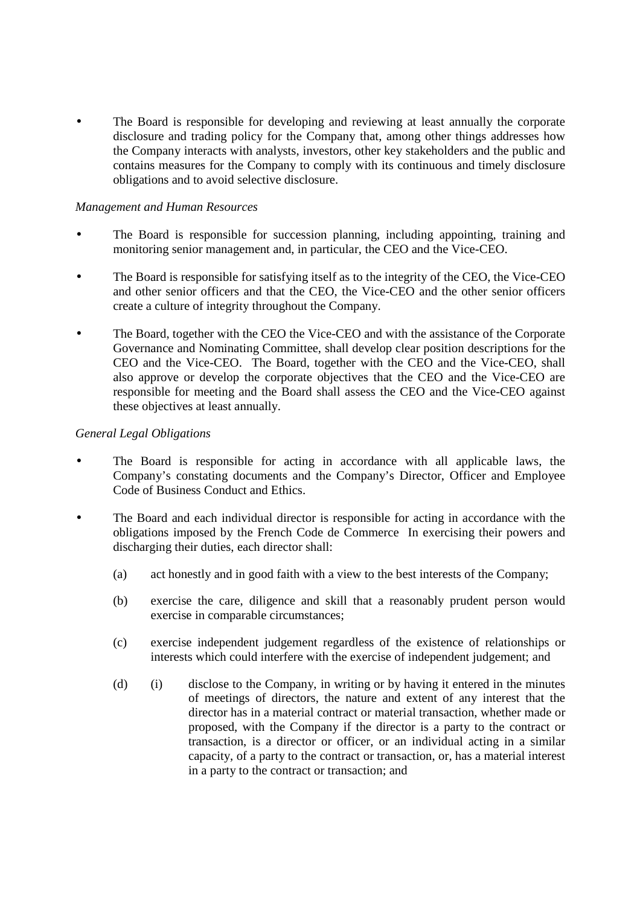The Board is responsible for developing and reviewing at least annually the corporate disclosure and trading policy for the Company that, among other things addresses how the Company interacts with analysts, investors, other key stakeholders and the public and contains measures for the Company to comply with its continuous and timely disclosure obligations and to avoid selective disclosure.

## *Management and Human Resources*

- The Board is responsible for succession planning, including appointing, training and monitoring senior management and, in particular, the CEO and the Vice-CEO.
- The Board is responsible for satisfying itself as to the integrity of the CEO, the Vice-CEO and other senior officers and that the CEO, the Vice-CEO and the other senior officers create a culture of integrity throughout the Company.
- The Board, together with the CEO the Vice-CEO and with the assistance of the Corporate Governance and Nominating Committee, shall develop clear position descriptions for the CEO and the Vice-CEO. The Board, together with the CEO and the Vice-CEO, shall also approve or develop the corporate objectives that the CEO and the Vice-CEO are responsible for meeting and the Board shall assess the CEO and the Vice-CEO against these objectives at least annually.

## *General Legal Obligations*

- The Board is responsible for acting in accordance with all applicable laws, the Company's constating documents and the Company's Director, Officer and Employee Code of Business Conduct and Ethics.
- The Board and each individual director is responsible for acting in accordance with the obligations imposed by the French Code de CommerceIn exercising their powers and discharging their duties, each director shall:
	- (a) act honestly and in good faith with a view to the best interests of the Company;
	- (b) exercise the care, diligence and skill that a reasonably prudent person would exercise in comparable circumstances;
	- (c) exercise independent judgement regardless of the existence of relationships or interests which could interfere with the exercise of independent judgement; and
	- (d) (i) disclose to the Company, in writing or by having it entered in the minutes of meetings of directors, the nature and extent of any interest that the director has in a material contract or material transaction, whether made or proposed, with the Company if the director is a party to the contract or transaction, is a director or officer, or an individual acting in a similar capacity, of a party to the contract or transaction, or, has a material interest in a party to the contract or transaction; and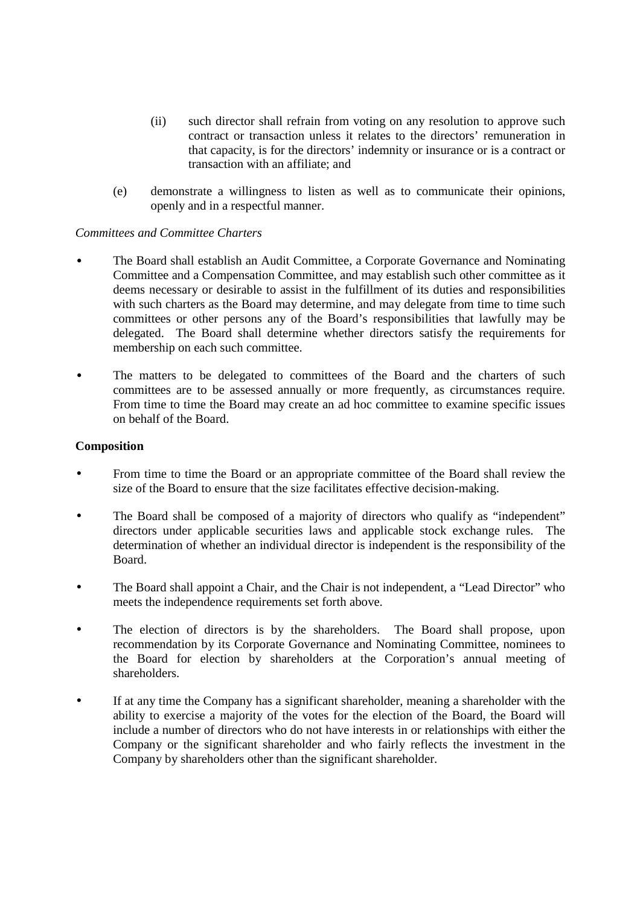- (ii) such director shall refrain from voting on any resolution to approve such contract or transaction unless it relates to the directors' remuneration in that capacity, is for the directors' indemnity or insurance or is a contract or transaction with an affiliate; and
- (e) demonstrate a willingness to listen as well as to communicate their opinions, openly and in a respectful manner.

## *Committees and Committee Charters*

- The Board shall establish an Audit Committee, a Corporate Governance and Nominating Committee and a Compensation Committee, and may establish such other committee as it deems necessary or desirable to assist in the fulfillment of its duties and responsibilities with such charters as the Board may determine, and may delegate from time to time such committees or other persons any of the Board's responsibilities that lawfully may be delegated. The Board shall determine whether directors satisfy the requirements for membership on each such committee.
- The matters to be delegated to committees of the Board and the charters of such committees are to be assessed annually or more frequently, as circumstances require. From time to time the Board may create an ad hoc committee to examine specific issues on behalf of the Board.

#### **Composition**

- From time to time the Board or an appropriate committee of the Board shall review the size of the Board to ensure that the size facilitates effective decision-making.
- The Board shall be composed of a majority of directors who qualify as "independent" directors under applicable securities laws and applicable stock exchange rules. The determination of whether an individual director is independent is the responsibility of the Board.
- The Board shall appoint a Chair, and the Chair is not independent, a "Lead Director" who meets the independence requirements set forth above.
- The election of directors is by the shareholders. The Board shall propose, upon recommendation by its Corporate Governance and Nominating Committee, nominees to the Board for election by shareholders at the Corporation's annual meeting of shareholders.
- If at any time the Company has a significant shareholder, meaning a shareholder with the ability to exercise a majority of the votes for the election of the Board, the Board will include a number of directors who do not have interests in or relationships with either the Company or the significant shareholder and who fairly reflects the investment in the Company by shareholders other than the significant shareholder.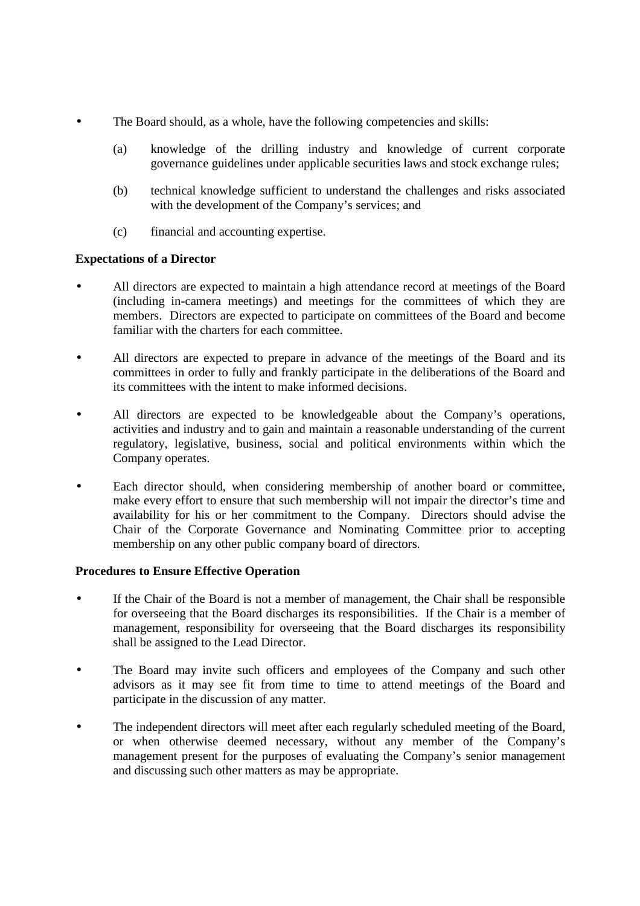- The Board should, as a whole, have the following competencies and skills:
	- (a) knowledge of the drilling industry and knowledge of current corporate governance guidelines under applicable securities laws and stock exchange rules;
	- (b) technical knowledge sufficient to understand the challenges and risks associated with the development of the Company's services; and
	- (c) financial and accounting expertise.

## **Expectations of a Director**

- All directors are expected to maintain a high attendance record at meetings of the Board (including in-camera meetings) and meetings for the committees of which they are members. Directors are expected to participate on committees of the Board and become familiar with the charters for each committee.
- All directors are expected to prepare in advance of the meetings of the Board and its committees in order to fully and frankly participate in the deliberations of the Board and its committees with the intent to make informed decisions.
- All directors are expected to be knowledgeable about the Company's operations, activities and industry and to gain and maintain a reasonable understanding of the current regulatory, legislative, business, social and political environments within which the Company operates.
- Each director should, when considering membership of another board or committee, make every effort to ensure that such membership will not impair the director's time and availability for his or her commitment to the Company. Directors should advise the Chair of the Corporate Governance and Nominating Committee prior to accepting membership on any other public company board of directors.

## **Procedures to Ensure Effective Operation**

- If the Chair of the Board is not a member of management, the Chair shall be responsible for overseeing that the Board discharges its responsibilities. If the Chair is a member of management, responsibility for overseeing that the Board discharges its responsibility shall be assigned to the Lead Director.
- The Board may invite such officers and employees of the Company and such other advisors as it may see fit from time to time to attend meetings of the Board and participate in the discussion of any matter.
- The independent directors will meet after each regularly scheduled meeting of the Board, or when otherwise deemed necessary, without any member of the Company's management present for the purposes of evaluating the Company's senior management and discussing such other matters as may be appropriate.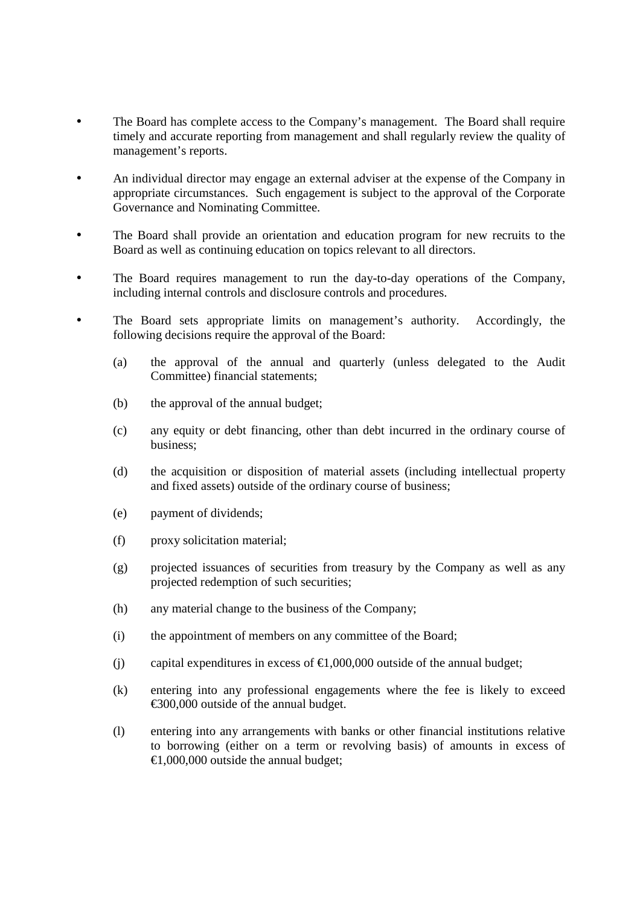- The Board has complete access to the Company's management. The Board shall require timely and accurate reporting from management and shall regularly review the quality of management's reports.
- An individual director may engage an external adviser at the expense of the Company in appropriate circumstances. Such engagement is subject to the approval of the Corporate Governance and Nominating Committee.
- The Board shall provide an orientation and education program for new recruits to the Board as well as continuing education on topics relevant to all directors.
- The Board requires management to run the day-to-day operations of the Company, including internal controls and disclosure controls and procedures.
- The Board sets appropriate limits on management's authority. Accordingly, the following decisions require the approval of the Board:
	- (a) the approval of the annual and quarterly (unless delegated to the Audit Committee) financial statements;
	- (b) the approval of the annual budget;
	- (c) any equity or debt financing, other than debt incurred in the ordinary course of business;
	- (d) the acquisition or disposition of material assets (including intellectual property and fixed assets) outside of the ordinary course of business;
	- (e) payment of dividends;
	- (f) proxy solicitation material;
	- (g) projected issuances of securities from treasury by the Company as well as any projected redemption of such securities;
	- (h) any material change to the business of the Company;
	- (i) the appointment of members on any committee of the Board;
	- (j) capital expenditures in excess of  $\epsilon$ 1,000,000 outside of the annual budget;
	- (k) entering into any professional engagements where the fee is likely to exceed €300,000 outside of the annual budget.
	- (l) entering into any arrangements with banks or other financial institutions relative to borrowing (either on a term or revolving basis) of amounts in excess of  $\epsilon$ 1,000,000 outside the annual budget: